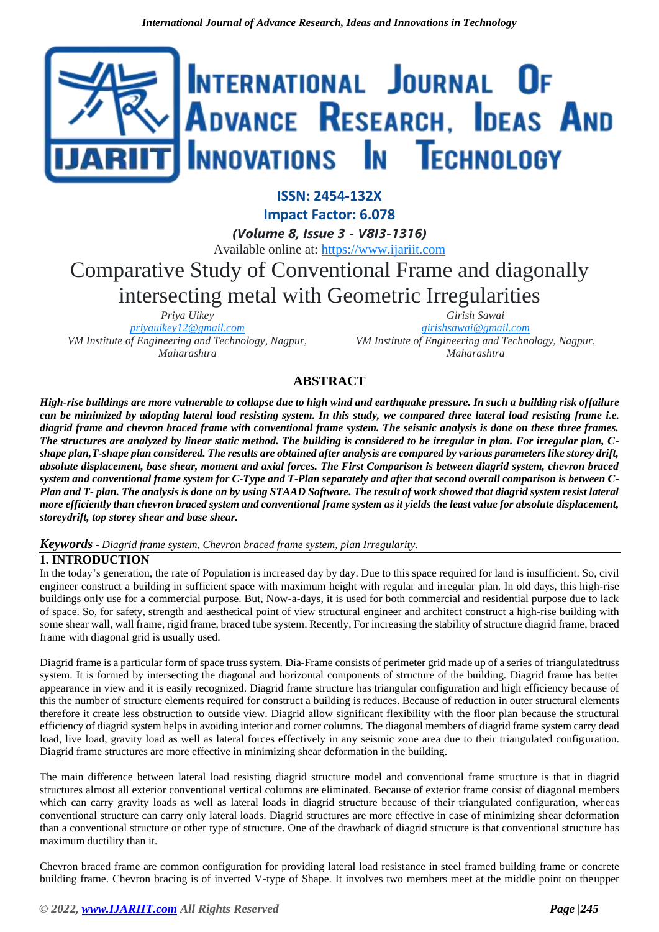

# **ISSN: 2454-132X Impact Factor: 6.078**

*(Volume 8, Issue 3 - V8I3-1316)*

Available online at: [https://www.ijariit.com](https://www.ijariit.com/?utm_source=pdf&utm_medium=edition&utm_campaign=OmAkSols&utm_term=V8I3-1316)

# Comparative Study of Conventional Frame and diagonally intersecting metal with Geometric Irregularities

*Priya Uikey [priyauikey12@gmail.com](mailto:priyauikey12@gmail.com) VM Institute of Engineering and Technology, Nagpur, Maharashtra*

*Girish Sawai [girishsawai@gmail.com](mailto:girishsawai@gmail.com) VM Institute of Engineering and Technology, Nagpur, Maharashtra*

# **ABSTRACT**

High-rise buildings are more vulnerable to collapse due to high wind and earthquake pressure. In such a building risk offailure can be minimized by adopting lateral load resisting system. In this study, we compared three lateral load resisting frame i.e. *diagrid frame and chevron braced frame with conventional frame system. The seismic analysis is done on these three frames. The structures are analyzed by linear static method. The building is considered to be irregular in plan. For irregular plan, Cshape plan,T-shape plan considered. The results are obtained after analysis are compared by various parameters like storey drift, absolute displacement, base shear, moment and axial forces. The First Comparison is between diagrid system, chevron braced system and conventional frame system for C-Type and T-Plan separately and after that second overall comparison is between C-Plan and T- plan. The analysis is done on by using STAAD Software. The result of work showed that diagrid system resist lateral more efficiently than chevron braced system and conventional frame system as it yields the least value for absolute displacement, storeydrift, top storey shear and base shear.*

# *Keywords* **-** *Diagrid frame system, Chevron braced frame system, plan Irregularity.*

# **1. INTRODUCTION**

In the today's generation, the rate of Population is increased day by day. Due to this space required for land is insufficient. So, civil engineer construct a building in sufficient space with maximum height with regular and irregular plan. In old days, this high-rise buildings only use for a commercial purpose. But, Now-a-days, it is used for both commercial and residential purpose due to lack of space. So, for safety, strength and aesthetical point of view structural engineer and architect construct a high-rise building with some shear wall, wall frame, rigid frame, braced tube system. Recently, For increasing the stability of structure diagrid frame, braced frame with diagonal grid is usually used.

Diagrid frame is a particular form of space truss system. Dia-Frame consists of perimeter grid made up of a series of triangulatedtruss system. It is formed by intersecting the diagonal and horizontal components of structure of the building. Diagrid frame has better appearance in view and it is easily recognized. Diagrid frame structure has triangular configuration and high efficiency because of this the number of structure elements required for construct a building is reduces. Because of reduction in outer structural elements therefore it create less obstruction to outside view. Diagrid allow significant flexibility with the floor plan because the structural efficiency of diagrid system helps in avoiding interior and corner columns. The diagonal members of diagrid frame system carry dead load, live load, gravity load as well as lateral forces effectively in any seismic zone area due to their triangulated configuration. Diagrid frame structures are more effective in minimizing shear deformation in the building.

The main difference between lateral load resisting diagrid structure model and conventional frame structure is that in diagrid structures almost all exterior conventional vertical columns are eliminated. Because of exterior frame consist of diagonal members which can carry gravity loads as well as lateral loads in diagrid structure because of their triangulated configuration, whereas conventional structure can carry only lateral loads. Diagrid structures are more effective in case of minimizing shear deformation than a conventional structure or other type of structure. One of the drawback of diagrid structure is that conventional structure has maximum ductility than it.

Chevron braced frame are common configuration for providing lateral load resistance in steel framed building frame or concrete building frame. Chevron bracing is of inverted V-type of Shape. It involves two members meet at the middle point on theupper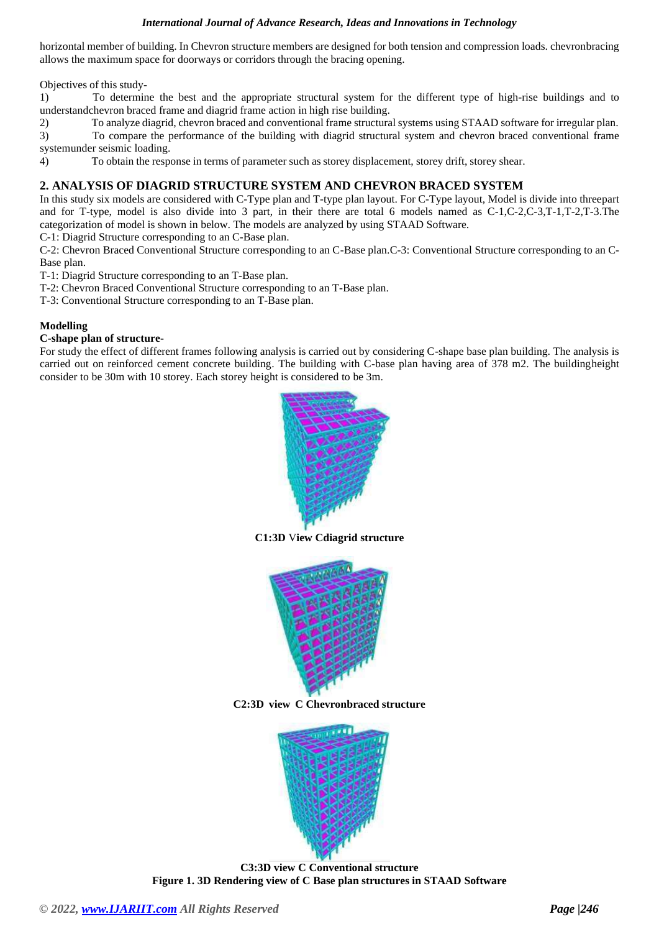horizontal member of building. In Chevron structure members are designed for both tension and compression loads. chevronbracing allows the maximum space for doorways or corridors through the bracing opening.

Objectives of this study-

1) To determine the best and the appropriate structural system for the different type of high-rise buildings and to understandchevron braced frame and diagrid frame action in high rise building.

2) To analyze diagrid, chevron braced and conventional frame structural systems using STAAD software for irregular plan.

3) To compare the performance of the building with diagrid structural system and chevron braced conventional frame systemunder seismic loading.

4) To obtain the response in terms of parameter such as storey displacement, storey drift, storey shear.

# **2. ANALYSIS OF DIAGRID STRUCTURE SYSTEM AND CHEVRON BRACED SYSTEM**

In this study six models are considered with C-Type plan and T-type plan layout. For C-Type layout, Model is divide into threepart and for T-type, model is also divide into 3 part, in their there are total 6 models named as C-1,C-2,C-3,T-1,T-2,T-3.The categorization of model is shown in below. The models are analyzed by using STAAD Software.

C-1: Diagrid Structure corresponding to an C-Base plan.

C-2: Chevron Braced Conventional Structure corresponding to an C-Base plan.C-3: Conventional Structure corresponding to an C-Base plan.

T-1: Diagrid Structure corresponding to an T-Base plan.

- T-2: Chevron Braced Conventional Structure corresponding to an T-Base plan.
- T-3: Conventional Structure corresponding to an T-Base plan.

## **Modelling**

## **C-shape plan of structure-**

For study the effect of different frames following analysis is carried out by considering C-shape base plan building. The analysis is carried out on reinforced cement concrete building. The building with C-base plan having area of 378 m2. The buildingheight consider to be 30m with 10 storey. Each storey height is considered to be 3m.



**C1:3D** V**iew Cdiagrid structure**



**C2:3D view C Chevronbraced structure**



**C3:3D view C Conventional structure Figure 1. 3D Rendering view of C Base plan structures in STAAD Software**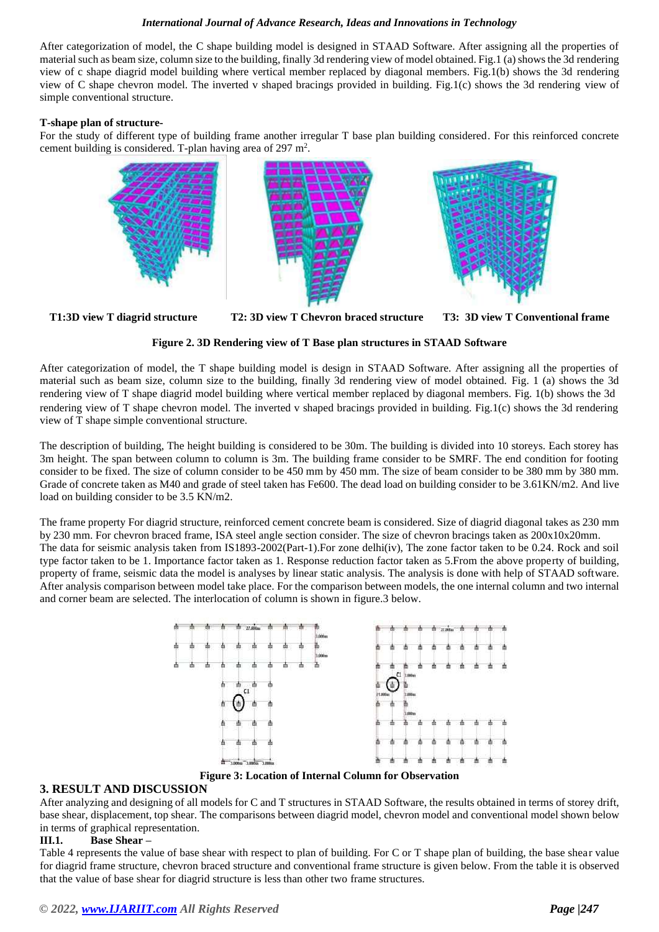After categorization of model, the C shape building model is designed in STAAD Software. After assigning all the properties of material such as beam size, column size to the building, finally 3d rendering view of model obtained. Fig.1 (a) shows the 3d rendering view of c shape diagrid model building where vertical member replaced by diagonal members. Fig.1(b) shows the 3d rendering view of C shape chevron model. The inverted v shaped bracings provided in building. Fig.1(c) shows the 3d rendering view of simple conventional structure.

#### **T-shape plan of structure-**

For the study of different type of building frame another irregular T base plan building considered. For this reinforced concrete cement building is considered. T-plan having area of  $297 \text{ m}^2$ .



**T1:3D view T diagrid structure T2: 3D view T Chevron braced structure T3: 3D view T Conventional frame**

**Figure 2. 3D Rendering view of T Base plan structures in STAAD Software**

After categorization of model, the T shape building model is design in STAAD Software. After assigning all the properties of material such as beam size, column size to the building, finally 3d rendering view of model obtained. Fig. 1 (a) shows the 3d rendering view of T shape diagrid model building where vertical member replaced by diagonal members. Fig. 1(b) shows the 3d rendering view of T shape chevron model. The inverted v shaped bracings provided in building. Fig.1(c) shows the 3d rendering view of T shape simple conventional structure.

The description of building, The height building is considered to be 30m. The building is divided into 10 storeys. Each storey has 3m height. The span between column to column is 3m. The building frame consider to be SMRF. The end condition for footing consider to be fixed. The size of column consider to be 450 mm by 450 mm. The size of beam consider to be 380 mm by 380 mm. Grade of concrete taken as M40 and grade of steel taken has Fe600. The dead load on building consider to be 3.61KN/m2. And live load on building consider to be 3.5 KN/m2.

The frame property For diagrid structure, reinforced cement concrete beam is considered. Size of diagrid diagonal takes as 230 mm by 230 mm. For chevron braced frame, ISA steel angle section consider. The size of chevron bracings taken as 200x10x20mm. The data for seismic analysis taken from IS1893-2002(Part-1).For zone delhi(iv), The zone factor taken to be 0.24. Rock and soil type factor taken to be 1. Importance factor taken as 1. Response reduction factor taken as 5.From the above property of building, property of frame, seismic data the model is analyses by linear static analysis. The analysis is done with help of STAAD software. After analysis comparison between model take place. For the comparison between models, the one internal column and two internal and corner beam are selected. The interlocation of column is shown in figure.3 below.



**Figure 3: Location of Internal Column for Observation**

#### **3. RESULT AND DISCUSSION**

After analyzing and designing of all models for C and T structures in STAAD Software, the results obtained in terms of storey drift, base shear, displacement, top shear. The comparisons between diagrid model, chevron model and conventional model shown below in terms of graphical representation.

#### **III.1. Base Shear –**

Table 4 represents the value of base shear with respect to plan of building. For C or T shape plan of building, the base shear value for diagrid frame structure, chevron braced structure and conventional frame structure is given below. From the table it is observed that the value of base shear for diagrid structure is less than other two frame structures.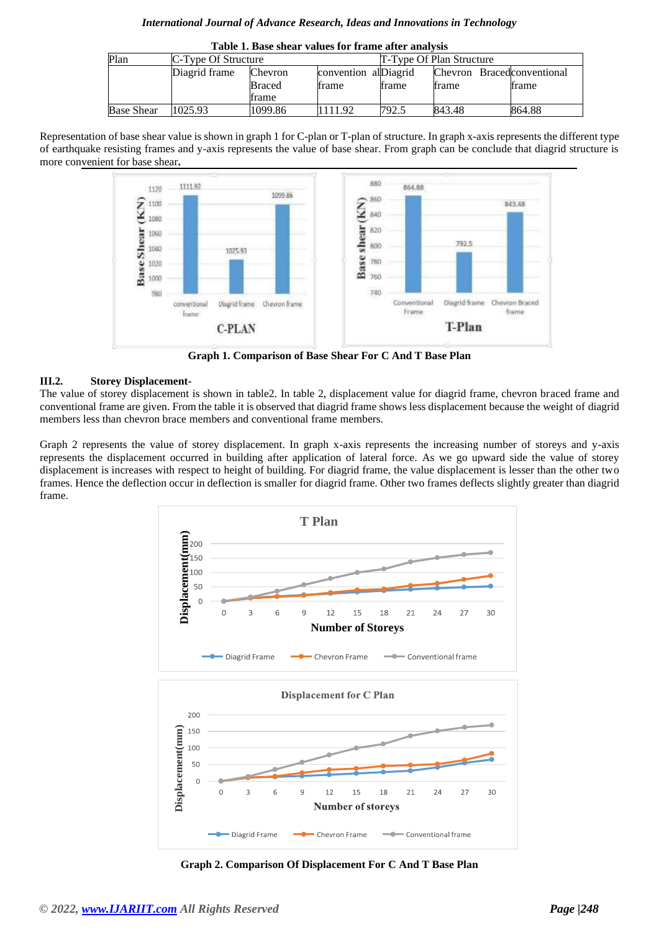| Table 1. Dase shear values for frame and analysis |                     |              |                       |                          |                            |        |  |  |  |  |  |  |  |
|---------------------------------------------------|---------------------|--------------|-----------------------|--------------------------|----------------------------|--------|--|--|--|--|--|--|--|
| Plan                                              | C-Type Of Structure |              |                       | T-Type Of Plan Structure |                            |        |  |  |  |  |  |  |  |
|                                                   | Diagrid frame       | Chevron      | convention allDiagrid |                          | Chevron Bracedconventional |        |  |  |  |  |  |  |  |
|                                                   |                     | Braced       | <b>frame</b>          | <b>f</b> rame            | trame                      | frame  |  |  |  |  |  |  |  |
|                                                   |                     | <b>frame</b> |                       |                          |                            |        |  |  |  |  |  |  |  |
| <b>Base Shear</b>                                 | 1025.93             | 1099.86      | 111.92                | 792.5                    | 843.48                     | 864.88 |  |  |  |  |  |  |  |

#### **Table 1. Base shear values for frame after analysis**

Representation of base shear value is shown in graph 1 for C-plan or T-plan of structure. In graph x-axis represents the different type of earthquake resisting frames and y-axis represents the value of base shear. From graph can be conclude that diagrid structure is more convenient for base shear**.**



**Graph 1. Comparison of Base Shear For C And T Base Plan**

#### **III.2. Storey Displacement-**

The value of storey displacement is shown in table2. In table 2, displacement value for diagrid frame, chevron braced frame and conventional frame are given. From the table it is observed that diagrid frame shows less displacement because the weight of diagrid members less than chevron brace members and conventional frame members.

Graph 2 represents the value of storey displacement. In graph x-axis represents the increasing number of storeys and y-axis represents the displacement occurred in building after application of lateral force. As we go upward side the value of storey displacement is increases with respect to height of building. For diagrid frame, the value displacement is lesser than the other two frames. Hence the deflection occur in deflection is smaller for diagrid frame. Other two frames deflects slightly greater than diagrid frame.



**Graph 2. Comparison Of Displacement For C And T Base Plan**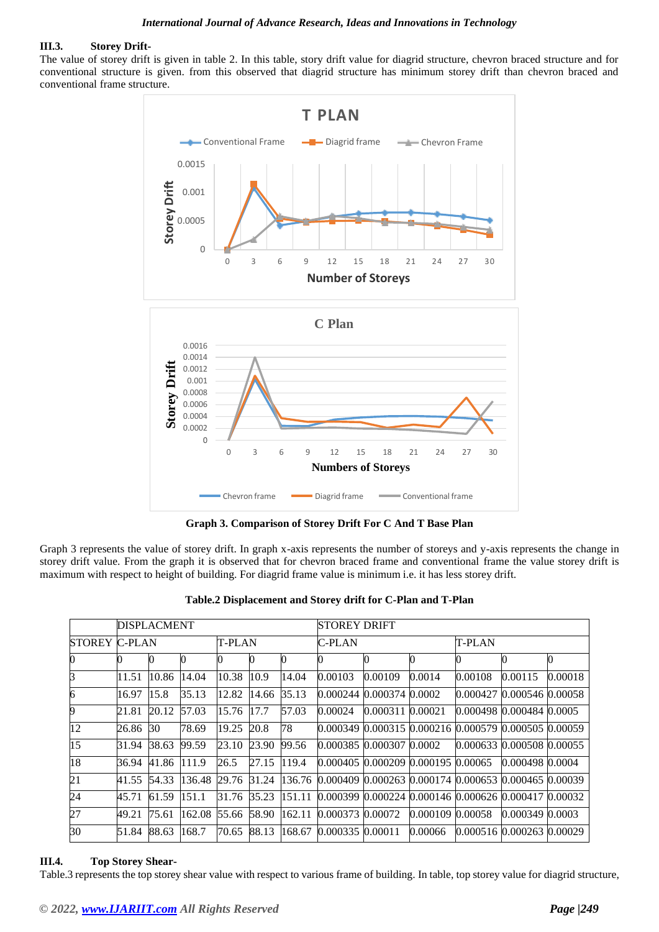#### **III.3. Storey Drift-**

The value of storey drift is given in table 2. In this table, story drift value for diagrid structure, chevron braced structure and for conventional structure is given. from this observed that diagrid structure has minimum storey drift than chevron braced and conventional frame structure.



**Graph 3. Comparison of Storey Drift For C And T Base Plan**

Graph 3 represents the value of storey drift. In graph x-axis represents the number of storeys and y-axis represents the change in storey drift value. From the graph it is observed that for chevron braced frame and conventional frame the value storey drift is maximum with respect to height of building. For diagrid frame value is minimum i.e. it has less storey drift.

| Table.2 Displacement and Storey drift for C-Plan and T-Plan |  |  |
|-------------------------------------------------------------|--|--|
|                                                             |  |  |

|                 |                  | <b>DISPLACMENT</b> |        |       |             |                    | <b>STOREY DRIFT</b>                                                 |                  |                  |          |                           |         |  |  |  |  |
|-----------------|------------------|--------------------|--------|-------|-------------|--------------------|---------------------------------------------------------------------|------------------|------------------|----------|---------------------------|---------|--|--|--|--|
| <b>STOREY</b>   | T-PLAN<br>C-PLAN |                    |        |       |             |                    | C-PLAN                                                              |                  |                  | T-PLAN   |                           |         |  |  |  |  |
| 0               |                  |                    | 0      |       | 0           |                    |                                                                     |                  |                  |          |                           |         |  |  |  |  |
| $\overline{3}$  | 11.51            | 10.86 14.04        |        | 10.38 | 10.9        | 14.04              | 0.00103                                                             | 0.00109          | 0.0014           | 0.00108  | 0.00115                   | 0.00018 |  |  |  |  |
| $\overline{6}$  | 16.97            | 15.8               | 35.13  | 12.82 | 14.66 35.13 |                    |                                                                     |                  |                  | 0.000427 | 0.000546 0.00058          |         |  |  |  |  |
| 9               | 21.81            | 20.12              | 57.03  | 15.76 | 17.7        | 57.03              | 0.00024                                                             | 0.000311 0.00021 |                  |          |                           |         |  |  |  |  |
| $\overline{12}$ | 26.86            | 30                 | 78.69  | 19.25 | 20.8        | 78                 |                                                                     |                  |                  |          |                           |         |  |  |  |  |
| 15              | 31.94            | 38.63              | 99.59  | 23.10 | 23.90       | 99.56              |                                                                     |                  |                  |          | 0.000633 0.000508 0.00055 |         |  |  |  |  |
| 18              | 36.94            | 41.86              | 111.9  | 26.5  | 27.15       | 119.4              | 0.000405 0.000209 0.000195 0.00065                                  |                  |                  |          | 0.000498 0.0004           |         |  |  |  |  |
| $\overline{21}$ | 41.55            | 54.33              | 136.48 | 29.76 |             |                    | $31.24$ 136.76 0.000409 0.000263 0.000174 0.000653 0.000465 0.00039 |                  |                  |          |                           |         |  |  |  |  |
| 24              | 45.71            | 61.59              | 151.1  |       |             | 31.76 35.23 151.11 | 0.000399 0.000224 0.000146 0.000626 0.000417 0.00032                |                  |                  |          |                           |         |  |  |  |  |
| 27              | 49.21            | 75.61              | 162.08 |       |             | 55.66 58.90 162.11 | 0.000373 0.00072                                                    |                  | 0.000109 0.00058 |          | 0.000349 0.0003           |         |  |  |  |  |
| 30              | 51.84            | 88.63              | 168.7  | 70.65 | 88.13       | 168.67             | 0.000335 0.00011                                                    |                  | 0.00066          |          | 0.000516 0.000263 0.00029 |         |  |  |  |  |

#### **III.4. Top Storey Shear-**

Table.3 represents the top storey shear value with respect to various frame of building. In table, top storey value for diagrid structure,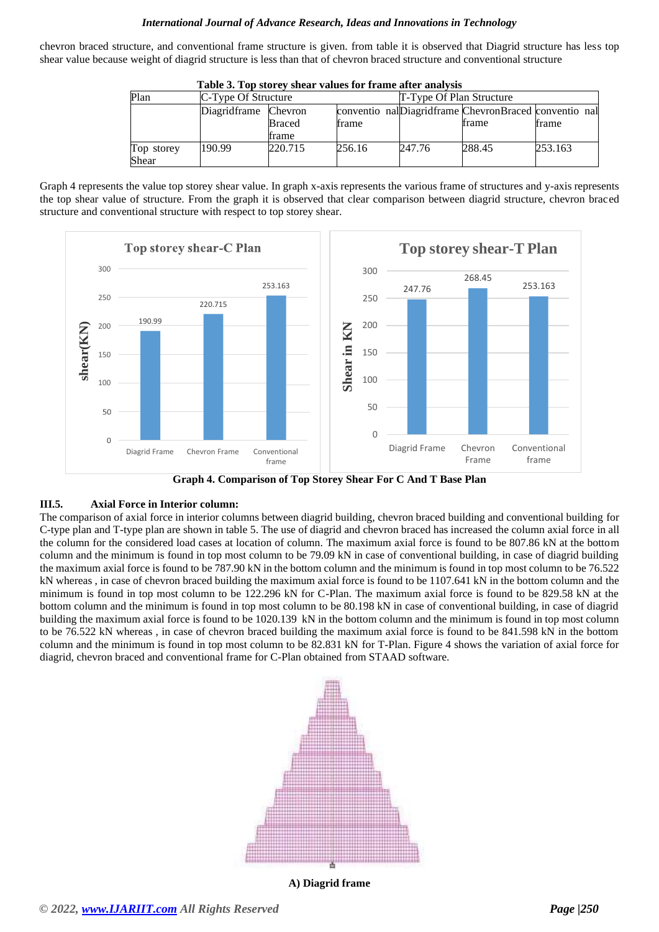chevron braced structure, and conventional frame structure is given. from table it is observed that Diagrid structure has less top shear value because weight of diagrid structure is less than that of chevron braced structure and conventional structure

| Table 3. Top storey shear values for frame after analysis |                      |                 |              |                          |                                                                 |              |  |  |  |  |  |  |
|-----------------------------------------------------------|----------------------|-----------------|--------------|--------------------------|-----------------------------------------------------------------|--------------|--|--|--|--|--|--|
| Plan                                                      | C-Type Of Structure  |                 |              | T-Type Of Plan Structure |                                                                 |              |  |  |  |  |  |  |
|                                                           | Diagridframe Chevron | Braced<br>frame | <b>frame</b> |                          | conventio nallDiagridframe ChevronBraced conventio nal<br>frame | <b>frame</b> |  |  |  |  |  |  |
| Top storey<br>Shear                                       | 190.99               | 220.715         | 256.16       | 247.76                   | 288.45                                                          | 253.163      |  |  |  |  |  |  |

**Table 3. Top storey shear values for frame after analysis**

Graph 4 represents the value top storey shear value. In graph x-axis represents the various frame of structures and y-axis represents the top shear value of structure. From the graph it is observed that clear comparison between diagrid structure, chevron braced structure and conventional structure with respect to top storey shear.



**Graph 4. Comparison of Top Storey Shear For C And T Base Plan**

# **III.5. Axial Force in Interior column:**

The comparison of axial force in interior columns between diagrid building, chevron braced building and conventional building for C-type plan and T-type plan are shown in table 5. The use of diagrid and chevron braced has increased the column axial force in all the column for the considered load cases at location of column. The maximum axial force is found to be 807.86 kN at the bottom column and the minimum is found in top most column to be 79.09 kN in case of conventional building, in case of diagrid building the maximum axial force is found to be 787.90 kN in the bottom column and the minimum is found in top most column to be 76.522 kN whereas , in case of chevron braced building the maximum axial force is found to be 1107.641 kN in the bottom column and the minimum is found in top most column to be 122.296 kN for C-Plan. The maximum axial force is found to be 829.58 kN at the bottom column and the minimum is found in top most column to be 80.198 kN in case of conventional building, in case of diagrid building the maximum axial force is found to be 1020.139 kN in the bottom column and the minimum is found in top most column to be 76.522 kN whereas , in case of chevron braced building the maximum axial force is found to be 841.598 kN in the bottom column and the minimum is found in top most column to be 82.831 kN for T-Plan. Figure 4 shows the variation of axial force for diagrid, chevron braced and conventional frame for C-Plan obtained from STAAD software.



**A) Diagrid frame**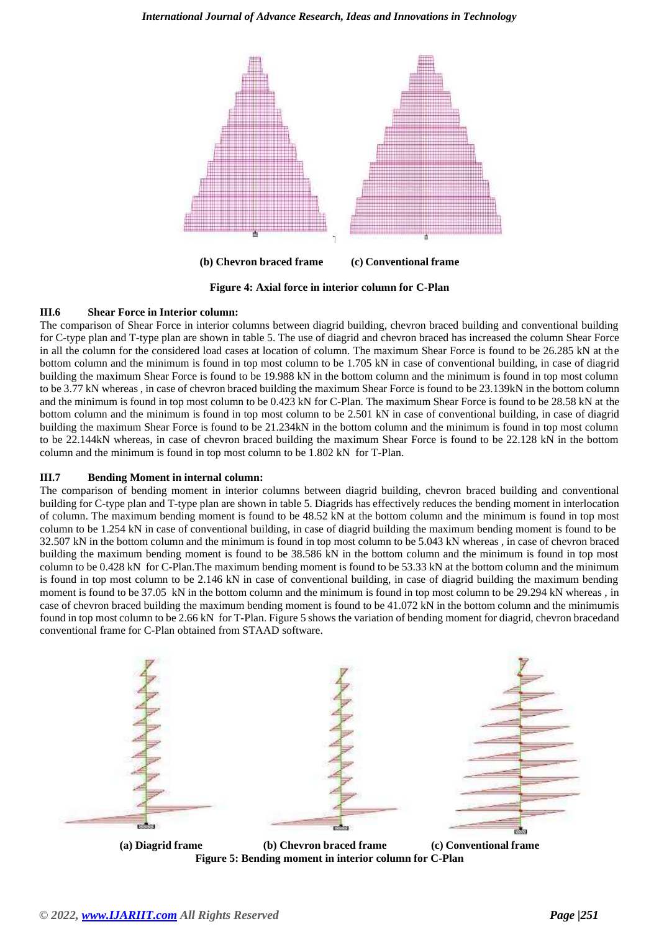

**Figure 4: Axial force in interior column for C-Plan**

# **III.6 Shear Force in Interior column:**

The comparison of Shear Force in interior columns between diagrid building, chevron braced building and conventional building for C-type plan and T-type plan are shown in table 5. The use of diagrid and chevron braced has increased the column Shear Force in all the column for the considered load cases at location of column. The maximum Shear Force is found to be 26.285 kN at the bottom column and the minimum is found in top most column to be 1.705 kN in case of conventional building, in case of diagrid building the maximum Shear Force is found to be 19.988 kN in the bottom column and the minimum is found in top most column to be 3.77 kN whereas , in case of chevron braced building the maximum Shear Force is found to be 23.139kN in the bottom column and the minimum is found in top most column to be 0.423 kN for C-Plan. The maximum Shear Force is found to be 28.58 kN at the bottom column and the minimum is found in top most column to be 2.501 kN in case of conventional building, in case of diagrid building the maximum Shear Force is found to be 21.234kN in the bottom column and the minimum is found in top most column to be 22.144kN whereas, in case of chevron braced building the maximum Shear Force is found to be 22.128 kN in the bottom column and the minimum is found in top most column to be 1.802 kN for T-Plan.

# **III.7 Bending Moment in internal column:**

The comparison of bending moment in interior columns between diagrid building, chevron braced building and conventional building for C-type plan and T-type plan are shown in table 5. Diagrids has effectively reduces the bending moment in interlocation of column. The maximum bending moment is found to be 48.52 kN at the bottom column and the minimum is found in top most column to be 1.254 kN in case of conventional building, in case of diagrid building the maximum bending moment is found to be 32.507 kN in the bottom column and the minimum is found in top most column to be 5.043 kN whereas , in case of chevron braced building the maximum bending moment is found to be 38.586 kN in the bottom column and the minimum is found in top most column to be 0.428 kN for C-Plan.The maximum bending moment is found to be 53.33 kN at the bottom column and the minimum is found in top most column to be 2.146 kN in case of conventional building, in case of diagrid building the maximum bending moment is found to be 37.05 kN in the bottom column and the minimum is found in top most column to be 29.294 kN whereas, in case of chevron braced building the maximum bending moment is found to be 41.072 kN in the bottom column and the minimumis found in top most column to be 2.66 kN for T-Plan. Figure 5 shows the variation of bending moment for diagrid, chevron bracedand conventional frame for C-Plan obtained from STAAD software.



**(a) Diagrid frame (b) Chevron braced frame (c) Conventional frame Figure 5: Bending moment in interior column for C-Plan**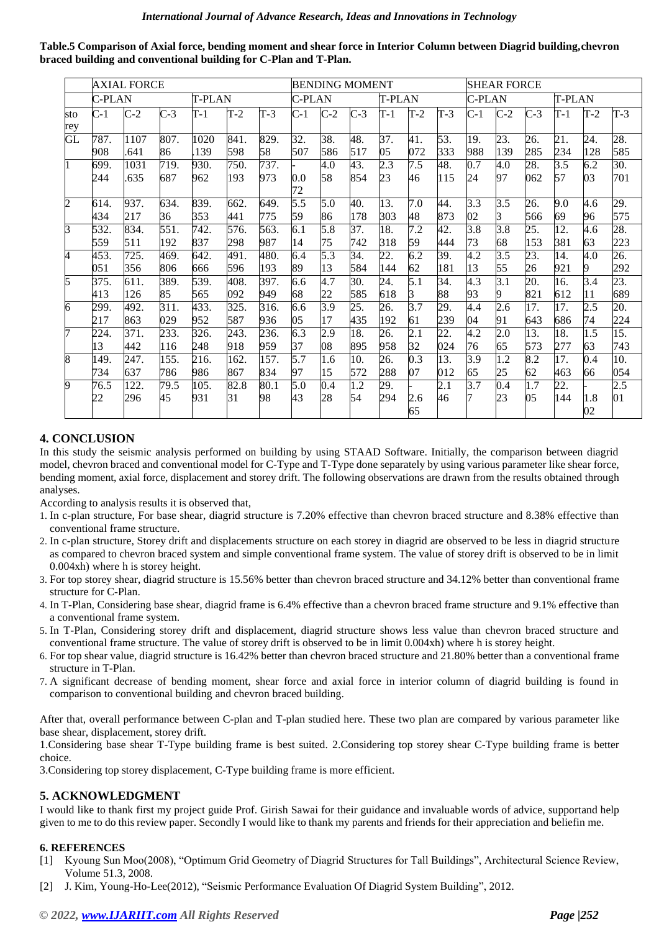| Table.5 Comparison of Axial force, bending moment and shear force in Interior Column between Diagrid building, chevron |
|------------------------------------------------------------------------------------------------------------------------|
| braced building and conventional building for C-Plan and T-Plan.                                                       |

|                        | <b>AXIAL FORCE</b> |       |       |               |       |       |        | <b>BENDING MOMENT</b> |       |               |                  |                  |                  | <b>SHEAR FORCE</b> |                  |                   |                  |                  |
|------------------------|--------------------|-------|-------|---------------|-------|-------|--------|-----------------------|-------|---------------|------------------|------------------|------------------|--------------------|------------------|-------------------|------------------|------------------|
|                        | C-PLAN             |       |       | <b>T-PLAN</b> |       |       | C-PLAN |                       |       | <b>T-PLAN</b> |                  |                  | <b>C-PLAN</b>    |                    |                  | <b>T-PLAN</b>     |                  |                  |
| sto<br>rey             | $C-1$              | $C-2$ | $C-3$ | $T-1$         | $T-2$ | $T-3$ | $C-1$  | $C-2$                 | $C-3$ | $T-1$         | $T-2$            | $T-3$            | $C-1$            | $C-2$              | $C-3$            | $T-1$             | $T-2$            | $\overline{T-3}$ |
| $\overline{\text{GL}}$ | 787.               | 1107  | 807.  | 1020          | 841.  | 829.  | 32.    | 38.                   | 48.   | 37.           | 41.              | 53.              | 19.              | 23.                | 26.              | 21.               | 24.              | 28.              |
|                        | 908                | .641  | 86    | 139           | 598   | 58    | 507    | 586                   | 517   | 05            | 072              | 333              | 988              | 139                | 285              | 234               | 128              | 585              |
| $\overline{1}$         | 699.               | 1031  | 719.  | 930.          | 750.  | 737.  | 0.0    | 4.0                   | 43.   | 2.3           | 7.5              | 48.              | 0.7              | 4.0                | 28.              | $\overline{3.5}$  | 6.2              | 30.              |
|                        | 244                | .635  | 687   | 962           | 193   | 973   | 72     | 58                    | 854   | 23            | 46               | 115              | 24               | 97                 | 062              | 57                | 03               | 701              |
| $\overline{2}$         | 614.               | 937.  | 634.  | 839.          | 662.  | 649.  | 5.5    | 5.0                   | 40.   | 13.           | 7.0              | 44.              | 3.3              | $\overline{3.5}$   | 26.              | 9.0               | 4.6              | 29.              |
|                        | 434                | 217   | 36    | 353           | 441   | 775   | 59     | 86                    | 178   | 303           | 48               | 873              | 02               | R                  | 566              | 69                | 96               | 575              |
| $\overline{3}$         | 532.               | 834.  | 551.  | 742.          | 576.  | 563.  | 6.1    | 5.8                   | 37.   | 18.           | 7.2              | 42.              | $\overline{3.8}$ | $\overline{3.8}$   | 25.              | 12.               | 4.6              | 28.              |
|                        | 559                | 511   | 192   | 837           | 298   | 987   | 14     | 75                    | 742   | 318           | 59               | 444              | 73               | 68                 | 153              | 381               | 63               | 223              |
| 4                      | 453.               | 725.  | 469.  | 642.          | 491.  | 480.  | 6.4    | 5.3                   | 34.   | 22.           | 6.2              | 39.              | 4.2              | 3.5                | 23.              | $\overline{14}$ . | 4.0              | 26.              |
|                        | 051                | 356   | 806   | 666           | 596   | 193   | 89     | 13                    | 584   | 144           | 62               | 181              | 13               | 55                 | 26               | 921               | 9                | 292              |
| 5                      | 375.               | 611.  | 389.  | 539.          | 408.  | 397.  | 6.6    | 4.7                   | 30.   | 24.           | 5.1              | 34.              | 4.3              | $\overline{3.1}$   | 20.              | 16.               | $\overline{3.4}$ | 23.              |
|                        | 413                | 126   | 85    | 565           | 092   | 949   | 68     | 22                    | 585   | 618           | R                | 88               | 93               | 9                  | 821              | 612               | 11               | 689              |
| 6                      | 299.               | 492.  | 311.  | 433.          | 325.  | 316.  | 6.6    | 3.9                   | 25.   | 26.           | $\overline{3.7}$ | 29.              | 4.4              | 2.6                | 17.              | 17.               | 2.5              | 20.              |
|                        | 217                | 863   | 029   | 952           | 587   | 936   | 05     | 17                    | 435   | 192           | 61               | 239              | 04               | 91                 | 643              | 686               | 74               | 224              |
| 7                      | 224.               | 371.  | 233.  | 326.          | 243.  | 236.  | 6.3    | 2.9                   | 18.   | 26.           | 2.1              | 22.              | 4.2              | $\overline{2.0}$   | 13.              | 18.               | 1.5              | 15.              |
|                        | 13                 | 442   | 116   | 248           | 918   | 959   | 37     | 08                    | 895   | 958           | 32               | 024              | 76               | 65                 | 573              | 277               | 63               | 743              |
| 8                      | 149                | 247.  | 155.  | 216.          | 162.  | 157.  | 5.7    | 1.6                   | 10.   | 26.           | 0.3              | 13.              | 3.9              | 1.2                | 8.2              | 17.               | 0.4              | 10.              |
|                        | 734                | 637   | 786   | 986           | 867   | 834   | 97     | 15                    | 572   | 288           | 07               | 012              | 65               | 25                 | 62               | 463               | 66               | 054              |
| 9                      | 76.5               | 122.  | 79.5  | 105.          | 82.8  | 80.1  | 5.0    | 0.4                   | 1.2   | 29.           | 2.6              | $\overline{2.1}$ | 3.7              | 0.4                | $\overline{1.7}$ | 22.               | 1.8              | 2.5              |
|                        | 22                 | 296   | 45    | 931           | 31    | 98    | 43     | 28                    | 54    | 294           | 65               | 46               | 7                | 23                 | 05               | 144               | 02               | 01               |

# **4. CONCLUSION**

In this study the seismic analysis performed on building by using STAAD Software. Initially, the comparison between diagrid model, chevron braced and conventional model for C-Type and T-Type done separately by using various parameter like shear force, bending moment, axial force, displacement and storey drift. The following observations are drawn from the results obtained through analyses.

According to analysis results it is observed that,

- 1. In c-plan structure, For base shear, diagrid structure is 7.20% effective than chevron braced structure and 8.38% effective than conventional frame structure.
- 2. In c-plan structure, Storey drift and displacements structure on each storey in diagrid are observed to be less in diagrid structure as compared to chevron braced system and simple conventional frame system. The value of storey drift is observed to be in limit 0.004xh) where h is storey height.
- 3. For top storey shear, diagrid structure is 15.56% better than chevron braced structure and 34.12% better than conventional frame structure for C-Plan.
- 4. In T-Plan, Considering base shear, diagrid frame is 6.4% effective than a chevron braced frame structure and 9.1% effective than a conventional frame system.
- 5. In T-Plan, Considering storey drift and displacement, diagrid structure shows less value than chevron braced structure and conventional frame structure. The value of storey drift is observed to be in limit 0.004xh) where h is storey height.
- 6. For top shear value, diagrid structure is 16.42% better than chevron braced structure and 21.80% better than a conventional frame structure in T-Plan.
- 7. A significant decrease of bending moment, shear force and axial force in interior column of diagrid building is found in comparison to conventional building and chevron braced building.

After that, overall performance between C-plan and T-plan studied here. These two plan are compared by various parameter like base shear, displacement, storey drift.

1.Considering base shear T-Type building frame is best suited. 2.Considering top storey shear C-Type building frame is better choice.

3.Considering top storey displacement, C-Type building frame is more efficient.

# **5. ACKNOWLEDGMENT**

I would like to thank first my project guide Prof. Girish Sawai for their guidance and invaluable words of advice, supportand help given to me to do this review paper. Secondly I would like to thank my parents and friends for their appreciation and beliefin me.

# **6. REFERENCES**

- [1] Kyoung Sun Moo(2008), "Optimum Grid Geometry of Diagrid Structures for Tall Buildings", Architectural Science Review, Volume 51.3, 2008.
- [2] J. Kim, Young-Ho-Lee(2012), "Seismic Performance Evaluation Of Diagrid System Building", 2012.